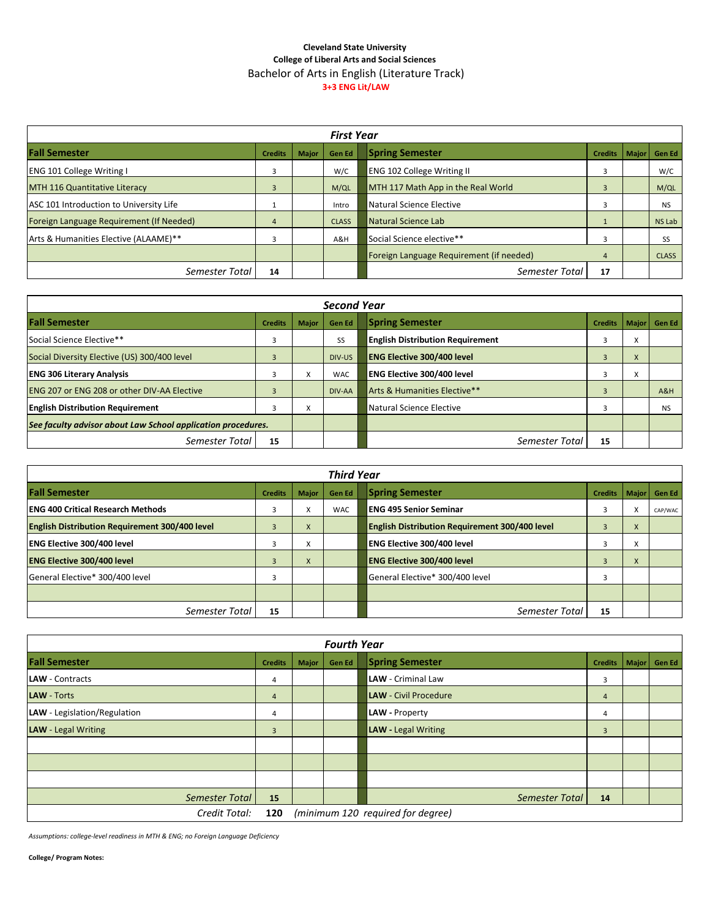## **Cleveland State University College of Liberal Arts and Social Sciences** Bachelor of Arts in English (Literature Track) **3+3 ENG Lit/LAW**

| <b>First Year</b>                        |                |              |               |                                          |                |              |               |
|------------------------------------------|----------------|--------------|---------------|------------------------------------------|----------------|--------------|---------------|
| <b>Fall Semester</b>                     | <b>Credits</b> | <b>Major</b> | <b>Gen Ed</b> | <b>Spring Semester</b>                   | <b>Credits</b> | <b>Maior</b> | <b>Gen Ed</b> |
| <b>ENG 101 College Writing I</b>         | 3              |              | W/C           | <b>ENG 102 College Writing II</b>        |                |              | W/C           |
| <b>MTH 116 Quantitative Literacy</b>     | 3              |              | M/QL          | MTH 117 Math App in the Real World       | $\overline{3}$ |              | M/QL          |
| ASC 101 Introduction to University Life  |                |              | Intro         | Natural Science Elective                 |                |              | <b>NS</b>     |
| Foreign Language Requirement (If Needed) | 4              |              | <b>CLASS</b>  | Natural Science Lab                      |                |              | NS Lab        |
| Arts & Humanities Elective (ALAAME)**    | 3              |              | A&H           | Social Science elective**                |                |              | SS            |
|                                          |                |              |               | Foreign Language Requirement (if needed) | 4              |              | <b>CLASS</b>  |
| Semester Total                           | 14             |              |               | Semester Total                           | 17             |              |               |

| <b>Second Year</b>                                           |                         |                |            |                                         |                |   |                |
|--------------------------------------------------------------|-------------------------|----------------|------------|-----------------------------------------|----------------|---|----------------|
| <b>Fall Semester</b>                                         | <b>Credits</b>          | <b>Major</b>   | Gen Ed     | <b>Spring Semester</b>                  | <b>Credits</b> |   | Major   Gen Ed |
| Social Science Elective**                                    | 3                       |                | SS         | <b>English Distribution Requirement</b> | 3              | v |                |
| Social Diversity Elective (US) 300/400 level                 | 3                       |                | DIV-US     | <b>ENG Elective 300/400 level</b>       |                | X |                |
| <b>ENG 306 Literary Analysis</b>                             | 3                       | $\lambda$<br>x | <b>WAC</b> | <b>ENG Elective 300/400 level</b>       |                | v |                |
| <b>ENG 207 or ENG 208 or other DIV-AA Elective</b>           | $\overline{\mathbf{3}}$ |                | DIV-AA     | Arts & Humanities Elective**            |                |   | A&H            |
| <b>English Distribution Requirement</b>                      | 3                       | $\lambda$<br>x |            | Natural Science Elective                |                |   | <b>NS</b>      |
| See faculty advisor about Law School application procedures. |                         |                |            |                                         |                |   |                |
| Semester Total                                               | 15                      |                |            | Semester Total                          | 15             |   |                |

| <b>Third Year</b>                                     |                |                           |            |                                                       |                |                   |                |
|-------------------------------------------------------|----------------|---------------------------|------------|-------------------------------------------------------|----------------|-------------------|----------------|
| <b>Fall Semester</b>                                  | <b>Credits</b> | <b>Major</b>              | Gen Ed     | <b>Spring Semester</b>                                | <b>Credits</b> |                   | Major   Gen Ed |
| <b>ENG 400 Critical Research Methods</b>              | 3              | $\checkmark$<br>$\lambda$ | <b>WAC</b> | <b>IENG 495 Senior Seminar</b>                        | 3              | X                 | CAP/WAC        |
| <b>English Distribution Requirement 300/400 level</b> | 3              | X                         |            | <b>English Distribution Requirement 300/400 level</b> | 3              | X                 |                |
| <b>ENG Elective 300/400 level</b>                     | 3              | $\checkmark$<br>$\lambda$ |            | <b>ENG Elective 300/400 level</b>                     | 3              | $\checkmark$<br>v |                |
| <b>ENG Elective 300/400 level</b>                     | 3              | $\mathsf{x}$              |            | <b>ENG Elective 300/400 level</b>                     | 3              | X                 |                |
| General Elective* 300/400 level                       | 3              |                           |            | General Elective* 300/400 level                       |                |                   |                |
|                                                       |                |                           |            |                                                       |                |                   |                |
| Semester Total                                        | 15             |                           |            | Semester Total                                        | 15             |                   |                |

| <b>Fourth Year</b>                                        |                |       |               |                              |                |  |                |
|-----------------------------------------------------------|----------------|-------|---------------|------------------------------|----------------|--|----------------|
| <b>Fall Semester</b>                                      | <b>Credits</b> | Major | <b>Gen Ed</b> | <b>Spring Semester</b>       | <b>Credits</b> |  | Major   Gen Ed |
| <b>LAW</b> - Contracts                                    | 4              |       |               | <b>LAW</b> - Criminal Law    | 3              |  |                |
| <b>LAW</b> - Torts                                        | $\overline{4}$ |       |               | <b>LAW</b> - Civil Procedure | $\overline{4}$ |  |                |
| LAW - Legislation/Regulation                              | 4              |       |               | LAW - Property               | 4              |  |                |
| <b>LAW</b> - Legal Writing                                | 3              |       |               | <b>LAW</b> - Legal Writing   | $\overline{3}$ |  |                |
|                                                           |                |       |               |                              |                |  |                |
|                                                           |                |       |               |                              |                |  |                |
|                                                           |                |       |               |                              |                |  |                |
| Semester Total                                            | 15             |       |               | Semester Total               | 14             |  |                |
| Credit Total:<br>(minimum 120 required for degree)<br>120 |                |       |               |                              |                |  |                |

*Assumptions: college-level readiness in MTH & ENG; no Foreign Language Deficiency*